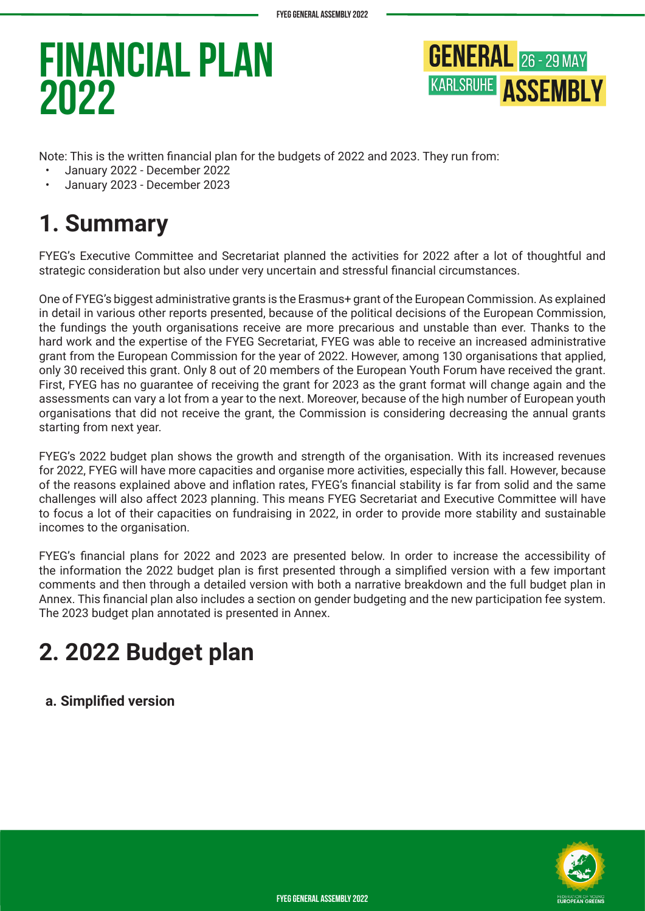

Note: This is the written financial plan for the budgets of 2022 and 2023. They run from:

- January 2022 December 2022
- January 2023 December 2023

### **1. Summary**

FYEG's Executive Committee and Secretariat planned the activities for 2022 after a lot of thoughtful and strategic consideration but also under very uncertain and stressful financial circumstances.

One of FYEG's biggest administrative grants is the Erasmus+ grant of the European Commission. As explained in detail in various other reports presented, because of the political decisions of the European Commission, the fundings the youth organisations receive are more precarious and unstable than ever. Thanks to the hard work and the expertise of the FYEG Secretariat, FYEG was able to receive an increased administrative grant from the European Commission for the year of 2022. However, among 130 organisations that applied, only 30 received this grant. Only 8 out of 20 members of the European Youth Forum have received the grant. First, FYEG has no guarantee of receiving the grant for 2023 as the grant format will change again and the assessments can vary a lot from a year to the next. Moreover, because of the high number of European youth organisations that did not receive the grant, the Commission is considering decreasing the annual grants starting from next year.

FYEG's 2022 budget plan shows the growth and strength of the organisation. With its increased revenues for 2022, FYEG will have more capacities and organise more activities, especially this fall. However, because of the reasons explained above and inflation rates, FYEG's financial stability is far from solid and the same challenges will also affect 2023 planning. This means FYEG Secretariat and Executive Committee will have to focus a lot of their capacities on fundraising in 2022, in order to provide more stability and sustainable incomes to the organisation.

FYEG's financial plans for 2022 and 2023 are presented below. In order to increase the accessibility of the information the 2022 budget plan is first presented through a simplified version with a few important comments and then through a detailed version with both a narrative breakdown and the full budget plan in Annex. This financial plan also includes a section on gender budgeting and the new participation fee system. The 2023 budget plan annotated is presented in Annex.

### **2. 2022 Budget plan**

**a. Simplified version**

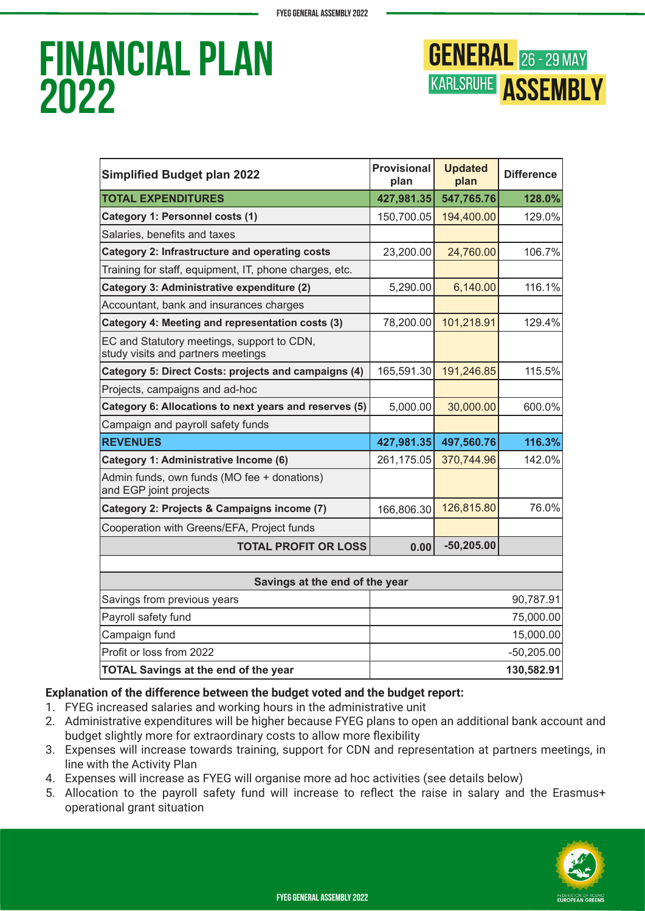

| <b>Simplified Budget plan 2022</b>                                               | <b>Provisional</b><br>plan | <b>Updated</b><br>plan | <b>Difference</b> |  |  |
|----------------------------------------------------------------------------------|----------------------------|------------------------|-------------------|--|--|
| <b>TOTAL EXPENDITURES</b>                                                        | 427,981.35                 | 547,765.76             | 128.0%            |  |  |
| Category 1: Personnel costs (1)                                                  | 150,700.05                 | 194,400.00             | 129.0%            |  |  |
| Salaries, benefits and taxes                                                     |                            |                        |                   |  |  |
| <b>Category 2: Infrastructure and operating costs</b>                            | 23,200.00                  | 24,760.00              | 106.7%            |  |  |
| Training for staff, equipment, IT, phone charges, etc.                           |                            |                        |                   |  |  |
| Category 3: Administrative expenditure (2)                                       | 5,290.00                   | 6,140.00               | 116.1%            |  |  |
| Accountant, bank and insurances charges                                          |                            |                        |                   |  |  |
| Category 4: Meeting and representation costs (3)                                 | 78,200.00                  | 101,218.91             | 129.4%            |  |  |
| EC and Statutory meetings, support to CDN,<br>study visits and partners meetings |                            |                        |                   |  |  |
| Category 5: Direct Costs: projects and campaigns (4)                             | 165,591.30                 | 191,246.85             | 115.5%            |  |  |
| Projects, campaigns and ad-hoc                                                   |                            |                        |                   |  |  |
| Category 6: Allocations to next years and reserves (5)                           | 5,000.00                   | 30,000.00              | 600.0%            |  |  |
| Campaign and payroll safety funds                                                |                            |                        |                   |  |  |
| <b>REVENUES</b>                                                                  | 427,981.35                 | 497,560.76             | 116.3%            |  |  |
| Category 1: Administrative Income (6)                                            | 261,175.05                 | 370,744.96             | 142.0%            |  |  |
| Admin funds, own funds (MO fee + donations)<br>and EGP joint projects            |                            |                        |                   |  |  |
| Category 2: Projects & Campaigns income (7)                                      | 166,806.30                 | 126,815.80             | 76.0%             |  |  |
| Cooperation with Greens/EFA, Project funds                                       |                            |                        |                   |  |  |
| <b>TOTAL PROFIT OR LOSS</b>                                                      | 0.00                       | $-50,205.00$           |                   |  |  |
|                                                                                  |                            |                        |                   |  |  |
| Savings at the end of the year                                                   |                            |                        |                   |  |  |
| Savings from previous years                                                      |                            |                        | 90,787.91         |  |  |
| Payroll safety fund                                                              | 75,000.00                  |                        |                   |  |  |
| Campaign fund                                                                    | 15,000.00                  |                        |                   |  |  |
| Profit or loss from 2022                                                         |                            |                        | $-50,205.00$      |  |  |
| <b>TOTAL Savings at the end of the year</b>                                      | 130,582.91                 |                        |                   |  |  |

### **Explanation of the difference between the budget voted and the budget report:**

- 1. FYEG increased salaries and working hours in the administrative unit
- 2. Administrative expenditures will be higher because FYEG plans to open an additional bank account and budget slightly more for extraordinary costs to allow more flexibility
- 3. Expenses will increase towards training, support for CDN and representation at partners meetings, in line with the Activity Plan
- 4. Expenses will increase as FYEG will organise more ad hoc activities (see details below)
- 5. Allocation to the payroll safety fund will increase to reflect the raise in salary and the Erasmus+ operational grant situation

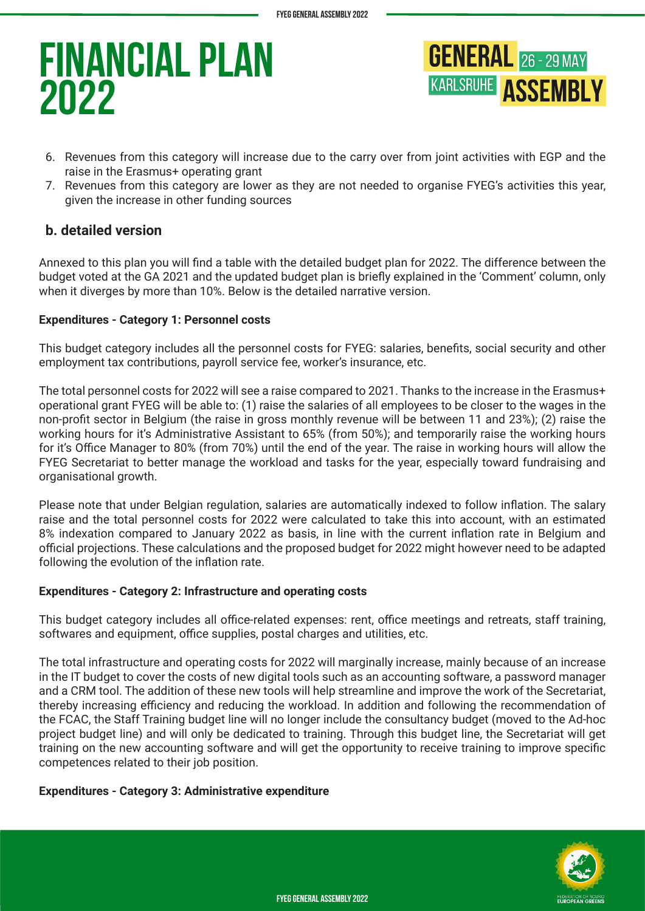

- 6. Revenues from this category will increase due to the carry over from joint activities with EGP and the raise in the Erasmus+ operating grant
- 7. Revenues from this category are lower as they are not needed to organise FYEG's activities this year, given the increase in other funding sources

### **b. detailed version**

Annexed to this plan you will find a table with the detailed budget plan for 2022. The difference between the budget voted at the GA 2021 and the updated budget plan is briefly explained in the 'Comment' column, only when it diverges by more than 10%. Below is the detailed narrative version.

#### **Expenditures - Category 1: Personnel costs**

This budget category includes all the personnel costs for FYEG: salaries, benefits, social security and other employment tax contributions, payroll service fee, worker's insurance, etc.

The total personnel costs for 2022 will see a raise compared to 2021. Thanks to the increase in the Erasmus+ operational grant FYEG will be able to: (1) raise the salaries of all employees to be closer to the wages in the non-profit sector in Belgium (the raise in gross monthly revenue will be between 11 and 23%); (2) raise the working hours for it's Administrative Assistant to 65% (from 50%); and temporarily raise the working hours for it's Office Manager to 80% (from 70%) until the end of the year. The raise in working hours will allow the FYEG Secretariat to better manage the workload and tasks for the year, especially toward fundraising and organisational growth.

Please note that under Belgian regulation, salaries are automatically indexed to follow inflation. The salary raise and the total personnel costs for 2022 were calculated to take this into account, with an estimated 8% indexation compared to January 2022 as basis, in line with the current inflation rate in Belgium and official projections. These calculations and the proposed budget for 2022 might however need to be adapted following the evolution of the inflation rate.

#### **Expenditures - Category 2: Infrastructure and operating costs**

This budget category includes all office-related expenses: rent, office meetings and retreats, staff training, softwares and equipment, office supplies, postal charges and utilities, etc.

The total infrastructure and operating costs for 2022 will marginally increase, mainly because of an increase in the IT budget to cover the costs of new digital tools such as an accounting software, a password manager and a CRM tool. The addition of these new tools will help streamline and improve the work of the Secretariat, thereby increasing efficiency and reducing the workload. In addition and following the recommendation of the FCAC, the Staff Training budget line will no longer include the consultancy budget (moved to the Ad-hoc project budget line) and will only be dedicated to training. Through this budget line, the Secretariat will get training on the new accounting software and will get the opportunity to receive training to improve specific competences related to their job position.

#### **Expenditures - Category 3: Administrative expenditure**

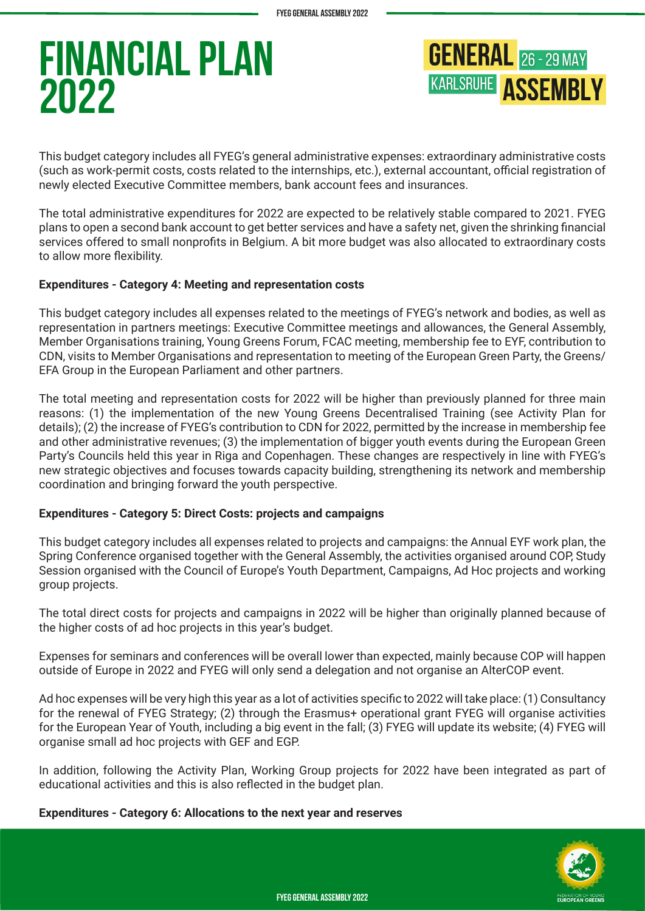

This budget category includes all FYEG's general administrative expenses: extraordinary administrative costs (such as work-permit costs, costs related to the internships, etc.), external accountant, official registration of newly elected Executive Committee members, bank account fees and insurances.

The total administrative expenditures for 2022 are expected to be relatively stable compared to 2021. FYEG plans to open a second bank account to get better services and have a safety net, given the shrinking financial services offered to small nonprofits in Belgium. A bit more budget was also allocated to extraordinary costs to allow more flexibility.

#### **Expenditures - Category 4: Meeting and representation costs**

This budget category includes all expenses related to the meetings of FYEG's network and bodies, as well as representation in partners meetings: Executive Committee meetings and allowances, the General Assembly, Member Organisations training, Young Greens Forum, FCAC meeting, membership fee to EYF, contribution to CDN, visits to Member Organisations and representation to meeting of the European Green Party, the Greens/ EFA Group in the European Parliament and other partners.

The total meeting and representation costs for 2022 will be higher than previously planned for three main reasons: (1) the implementation of the new Young Greens Decentralised Training (see Activity Plan for details); (2) the increase of FYEG's contribution to CDN for 2022, permitted by the increase in membership fee and other administrative revenues; (3) the implementation of bigger youth events during the European Green Party's Councils held this year in Riga and Copenhagen. These changes are respectively in line with FYEG's new strategic objectives and focuses towards capacity building, strengthening its network and membership coordination and bringing forward the youth perspective.

### **Expenditures - Category 5: Direct Costs: projects and campaigns**

This budget category includes all expenses related to projects and campaigns: the Annual EYF work plan, the Spring Conference organised together with the General Assembly, the activities organised around COP, Study Session organised with the Council of Europe's Youth Department, Campaigns, Ad Hoc projects and working group projects.

The total direct costs for projects and campaigns in 2022 will be higher than originally planned because of the higher costs of ad hoc projects in this year's budget.

Expenses for seminars and conferences will be overall lower than expected, mainly because COP will happen outside of Europe in 2022 and FYEG will only send a delegation and not organise an AlterCOP event.

Ad hoc expenses will be very high this year as a lot of activities specific to 2022 will take place: (1) Consultancy for the renewal of FYEG Strategy; (2) through the Erasmus+ operational grant FYEG will organise activities for the European Year of Youth, including a big event in the fall; (3) FYEG will update its website; (4) FYEG will organise small ad hoc projects with GEF and EGP.

In addition, following the Activity Plan, Working Group projects for 2022 have been integrated as part of educational activities and this is also reflected in the budget plan.

#### **Expenditures - Category 6: Allocations to the next year and reserves**

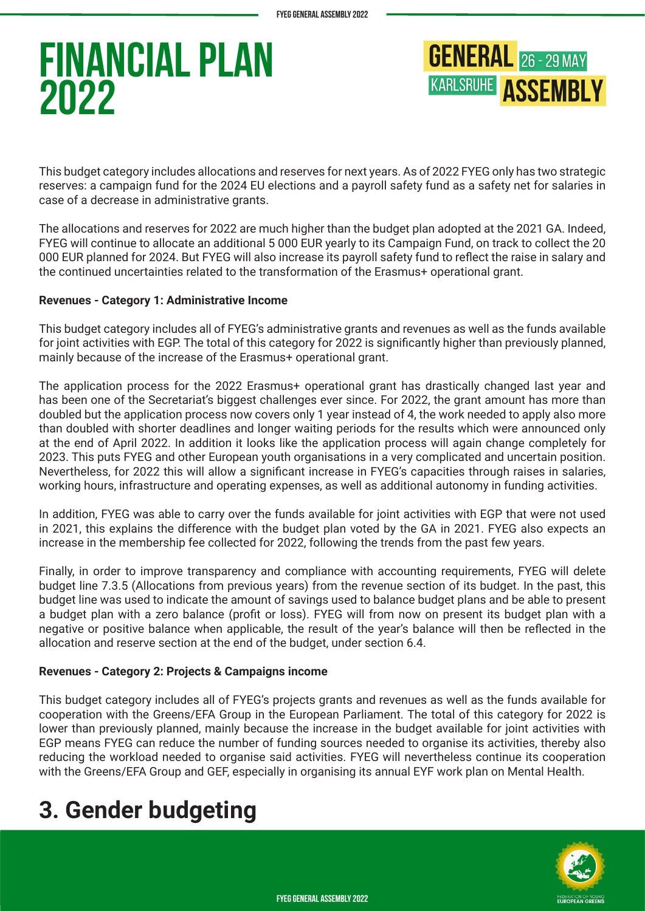

This budget category includes allocations and reserves for next years. As of 2022 FYEG only has two strategic reserves: a campaign fund for the 2024 EU elections and a payroll safety fund as a safety net for salaries in case of a decrease in administrative grants.

The allocations and reserves for 2022 are much higher than the budget plan adopted at the 2021 GA. Indeed, FYEG will continue to allocate an additional 5 000 EUR yearly to its Campaign Fund, on track to collect the 20 000 EUR planned for 2024. But FYEG will also increase its payroll safety fund to reflect the raise in salary and the continued uncertainties related to the transformation of the Erasmus+ operational grant.

#### **Revenues - Category 1: Administrative Income**

This budget category includes all of FYEG's administrative grants and revenues as well as the funds available for joint activities with EGP. The total of this category for 2022 is significantly higher than previously planned, mainly because of the increase of the Erasmus+ operational grant.

The application process for the 2022 Erasmus+ operational grant has drastically changed last year and has been one of the Secretariat's biggest challenges ever since. For 2022, the grant amount has more than doubled but the application process now covers only 1 year instead of 4, the work needed to apply also more than doubled with shorter deadlines and longer waiting periods for the results which were announced only at the end of April 2022. In addition it looks like the application process will again change completely for 2023. This puts FYEG and other European youth organisations in a very complicated and uncertain position. Nevertheless, for 2022 this will allow a significant increase in FYEG's capacities through raises in salaries, working hours, infrastructure and operating expenses, as well as additional autonomy in funding activities.

In addition, FYEG was able to carry over the funds available for joint activities with EGP that were not used in 2021, this explains the difference with the budget plan voted by the GA in 2021. FYEG also expects an increase in the membership fee collected for 2022, following the trends from the past few years.

Finally, in order to improve transparency and compliance with accounting requirements, FYEG will delete budget line 7.3.5 (Allocations from previous years) from the revenue section of its budget. In the past, this budget line was used to indicate the amount of savings used to balance budget plans and be able to present a budget plan with a zero balance (profit or loss). FYEG will from now on present its budget plan with a negative or positive balance when applicable, the result of the year's balance will then be reflected in the allocation and reserve section at the end of the budget, under section 6.4.

#### **Revenues - Category 2: Projects & Campaigns income**

This budget category includes all of FYEG's projects grants and revenues as well as the funds available for cooperation with the Greens/EFA Group in the European Parliament. The total of this category for 2022 is lower than previously planned, mainly because the increase in the budget available for joint activities with EGP means FYEG can reduce the number of funding sources needed to organise its activities, thereby also reducing the workload needed to organise said activities. FYEG will nevertheless continue its cooperation with the Greens/EFA Group and GEF, especially in organising its annual EYF work plan on Mental Health.

### **3. Gender budgeting**

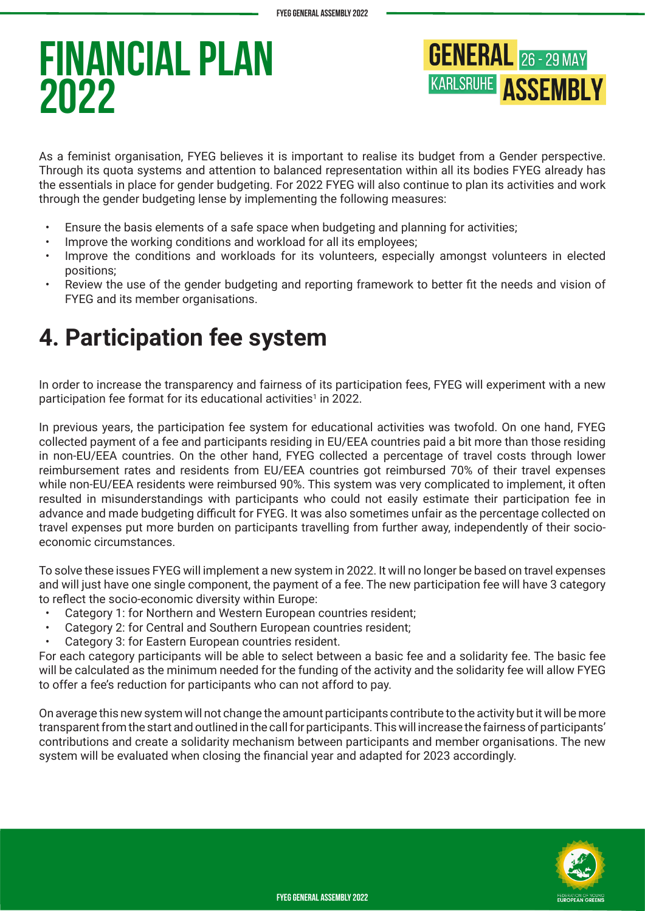

As a feminist organisation, FYEG believes it is important to realise its budget from a Gender perspective. Through its quota systems and attention to balanced representation within all its bodies FYEG already has the essentials in place for gender budgeting. For 2022 FYEG will also continue to plan its activities and work through the gender budgeting lense by implementing the following measures:

- Ensure the basis elements of a safe space when budgeting and planning for activities;
- Improve the working conditions and workload for all its employees;
- Improve the conditions and workloads for its volunteers, especially amongst volunteers in elected positions;
- Review the use of the gender budgeting and reporting framework to better fit the needs and vision of FYEG and its member organisations.

### **4. Participation fee system**

In order to increase the transparency and fairness of its participation fees, FYEG will experiment with a new participation fee format for its educational activities<sup>1</sup> in 2022.

In previous years, the participation fee system for educational activities was twofold. On one hand, FYEG collected payment of a fee and participants residing in EU/EEA countries paid a bit more than those residing in non-EU/EEA countries. On the other hand, FYEG collected a percentage of travel costs through lower reimbursement rates and residents from EU/EEA countries got reimbursed 70% of their travel expenses while non-EU/EEA residents were reimbursed 90%. This system was very complicated to implement, it often resulted in misunderstandings with participants who could not easily estimate their participation fee in advance and made budgeting difficult for FYEG. It was also sometimes unfair as the percentage collected on travel expenses put more burden on participants travelling from further away, independently of their socioeconomic circumstances.

To solve these issues FYEG will implement a new system in 2022. It will no longer be based on travel expenses and will just have one single component, the payment of a fee. The new participation fee will have 3 category to reflect the socio-economic diversity within Europe:

- Category 1: for Northern and Western European countries resident;
- Category 2: for Central and Southern European countries resident;
- Category 3: for Eastern European countries resident.

For each category participants will be able to select between a basic fee and a solidarity fee. The basic fee will be calculated as the minimum needed for the funding of the activity and the solidarity fee will allow FYEG to offer a fee's reduction for participants who can not afford to pay.

On average this new system will not change the amount participants contribute to the activity but it will be more transparent from the start and outlined in the call for participants. This will increase the fairness of participants' contributions and create a solidarity mechanism between participants and member organisations. The new system will be evaluated when closing the financial year and adapted for 2023 accordingly.

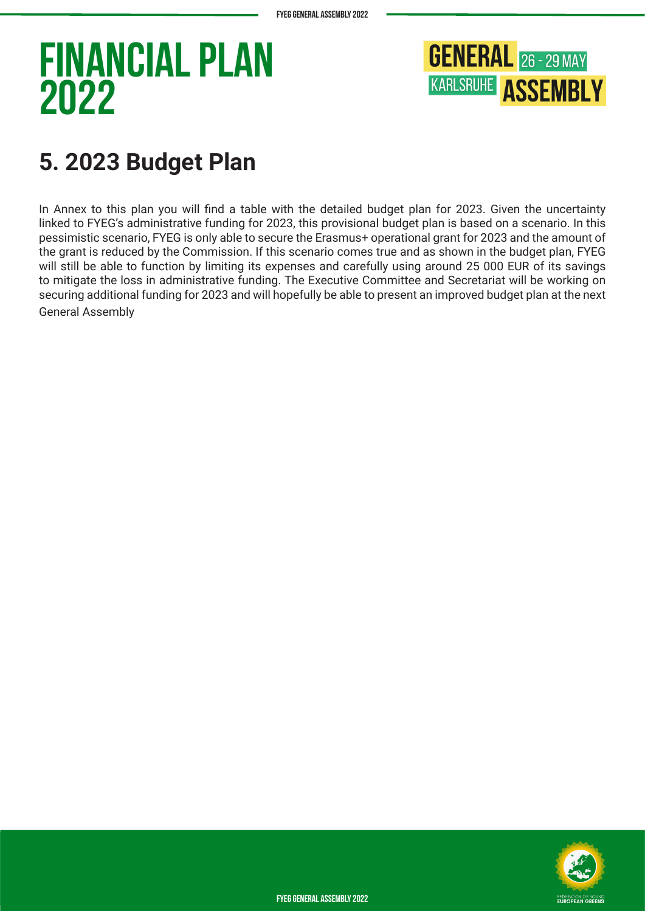

### **5. 2023 Budget Plan**

In Annex to this plan you will find a table with the detailed budget plan for 2023. Given the uncertainty linked to FYEG's administrative funding for 2023, this provisional budget plan is based on a scenario. In this pessimistic scenario, FYEG is only able to secure the Erasmus+ operational grant for 2023 and the amount of the grant is reduced by the Commission. If this scenario comes true and as shown in the budget plan, FYEG will still be able to function by limiting its expenses and carefully using around 25 000 EUR of its savings to mitigate the loss in administrative funding. The Executive Committee and Secretariat will be working on securing additional funding for 2023 and will hopefully be able to present an improved budget plan at the next General Assembly



**FYEG General Assembly 2022**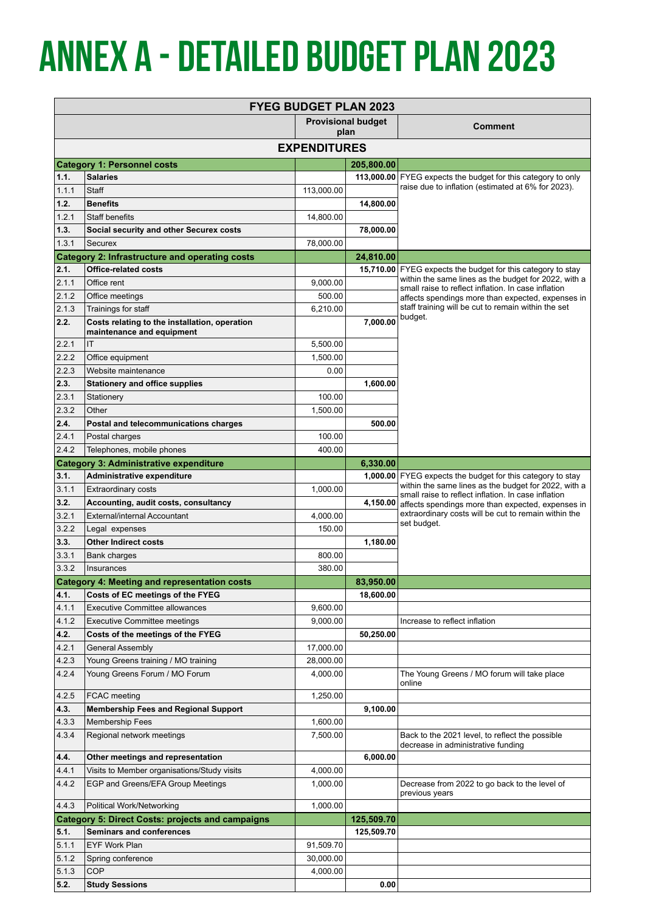# **Annex a - Detailed Budget plan 2023**

| <b>FYEG BUDGET PLAN 2023</b> |                                                                            |                       |                                   |                                                                                                                    |  |  |  |
|------------------------------|----------------------------------------------------------------------------|-----------------------|-----------------------------------|--------------------------------------------------------------------------------------------------------------------|--|--|--|
|                              |                                                                            |                       | <b>Provisional budget</b><br>plan | <b>Comment</b>                                                                                                     |  |  |  |
| <b>EXPENDITURES</b>          |                                                                            |                       |                                   |                                                                                                                    |  |  |  |
|                              | <b>Category 1: Personnel costs</b>                                         |                       | 205,800.00                        |                                                                                                                    |  |  |  |
| 1.1.                         | <b>Salaries</b>                                                            |                       |                                   | 113,000.00 FYEG expects the budget for this category to only                                                       |  |  |  |
| 1.1.1                        | <b>Staff</b>                                                               | 113,000.00            |                                   | raise due to inflation (estimated at 6% for 2023).                                                                 |  |  |  |
| 1.2.                         | <b>Benefits</b>                                                            |                       | 14,800.00                         |                                                                                                                    |  |  |  |
| 1.2.1                        | <b>Staff benefits</b>                                                      | 14,800.00             |                                   |                                                                                                                    |  |  |  |
| 1.3.                         | Social security and other Securex costs                                    |                       | 78,000.00                         |                                                                                                                    |  |  |  |
| 1.3.1                        | Securex                                                                    | 78,000.00             |                                   |                                                                                                                    |  |  |  |
|                              | <b>Category 2: Infrastructure and operating costs</b>                      |                       | 24,810.00                         |                                                                                                                    |  |  |  |
| 2.1.                         | <b>Office-related costs</b>                                                |                       |                                   | 15,710.00 FYEG expects the budget for this category to stay                                                        |  |  |  |
| 2.1.1                        | Office rent                                                                | 9,000.00              |                                   | within the same lines as the budget for 2022, with a<br>small raise to reflect inflation. In case inflation        |  |  |  |
| 2.1.2                        | Office meetings                                                            | 500.00                |                                   | affects spendings more than expected, expenses in                                                                  |  |  |  |
| 2.1.3                        | Trainings for staff                                                        | 6,210.00              |                                   | staff training will be cut to remain within the set<br>budget.                                                     |  |  |  |
| 2.2.                         | Costs relating to the installation, operation<br>maintenance and equipment |                       | 7,000.00                          |                                                                                                                    |  |  |  |
| 2.2.1                        | IT                                                                         | 5,500.00              |                                   |                                                                                                                    |  |  |  |
| 2.2.2                        | Office equipment                                                           | 1,500.00              |                                   |                                                                                                                    |  |  |  |
| 2.2.3                        | Website maintenance                                                        | 0.00                  |                                   |                                                                                                                    |  |  |  |
| 2.3.                         | <b>Stationery and office supplies</b>                                      |                       | 1,600.00                          |                                                                                                                    |  |  |  |
| 2.3.1                        | Stationery                                                                 | 100.00                |                                   |                                                                                                                    |  |  |  |
| 2.3.2                        | Other                                                                      | 1.500.00              |                                   |                                                                                                                    |  |  |  |
| 2.4.                         | Postal and telecommunications charges                                      |                       | 500.00                            |                                                                                                                    |  |  |  |
| 2.4.1                        | Postal charges                                                             | 100.00                |                                   |                                                                                                                    |  |  |  |
| 2.4.2                        | Telephones, mobile phones                                                  | 400.00                |                                   |                                                                                                                    |  |  |  |
|                              | <b>Category 3: Administrative expenditure</b>                              |                       | 6,330.00                          |                                                                                                                    |  |  |  |
| 3.1.<br>3.1.1                | Administrative expenditure                                                 | 1,000.00              |                                   | 1,000.00 FYEG expects the budget for this category to stay<br>within the same lines as the budget for 2022, with a |  |  |  |
| 3.2.                         | <b>Extraordinary costs</b><br>Accounting, audit costs, consultancy         |                       | 4,150.00                          | small raise to reflect inflation. In case inflation                                                                |  |  |  |
| 3.2.1                        | <b>External/internal Accountant</b>                                        | 4,000.00              |                                   | affects spendings more than expected, expenses in<br>extraordinary costs will be cut to remain within the          |  |  |  |
| 3.2.2                        | Legal expenses                                                             | 150.00                |                                   | set budget.                                                                                                        |  |  |  |
| 3.3.                         | <b>Other Indirect costs</b>                                                |                       | 1,180.00                          |                                                                                                                    |  |  |  |
| 3.3.1                        | Bank charges                                                               | 800.00                |                                   |                                                                                                                    |  |  |  |
| 3.3.2                        | Insurances                                                                 | 380.00                |                                   |                                                                                                                    |  |  |  |
|                              | <b>Category 4: Meeting and representation costs</b>                        |                       | 83,950.00                         |                                                                                                                    |  |  |  |
| 4.1.                         | Costs of EC meetings of the FYEG                                           |                       | 18,600.00                         |                                                                                                                    |  |  |  |
| 4.1.1                        | <b>Executive Committee allowances</b>                                      | 9,600.00              |                                   |                                                                                                                    |  |  |  |
| 4.1.2                        | <b>Executive Committee meetings</b>                                        | 9,000.00              |                                   | Increase to reflect inflation                                                                                      |  |  |  |
| 4.2.                         | Costs of the meetings of the FYEG                                          |                       | 50,250.00                         |                                                                                                                    |  |  |  |
| 4.2.1                        | General Assembly                                                           | 17,000.00             |                                   |                                                                                                                    |  |  |  |
| 4.2.3                        | Young Greens training / MO training                                        | 28,000.00             |                                   |                                                                                                                    |  |  |  |
| 4.2.4                        | Young Greens Forum / MO Forum                                              | 4,000.00              |                                   | The Young Greens / MO forum will take place<br>online                                                              |  |  |  |
| 4.2.5                        | FCAC meeting                                                               | 1,250.00              |                                   |                                                                                                                    |  |  |  |
| 4.3.                         | <b>Membership Fees and Regional Support</b>                                |                       | 9,100.00                          |                                                                                                                    |  |  |  |
| 4.3.3                        | <b>Membership Fees</b>                                                     | 1,600.00              |                                   |                                                                                                                    |  |  |  |
| 4.3.4                        | Regional network meetings                                                  | 7,500.00              |                                   | Back to the 2021 level, to reflect the possible<br>decrease in administrative funding                              |  |  |  |
| 4.4.                         | Other meetings and representation                                          |                       | 6,000.00                          |                                                                                                                    |  |  |  |
| 4.4.1                        | Visits to Member organisations/Study visits                                | 4,000.00              |                                   |                                                                                                                    |  |  |  |
| 4.4.2                        | EGP and Greens/EFA Group Meetings                                          | 1,000.00              |                                   | Decrease from 2022 to go back to the level of<br>previous years                                                    |  |  |  |
| 4.4.3                        | Political Work/Networking                                                  | 1,000.00              |                                   |                                                                                                                    |  |  |  |
|                              | <b>Category 5: Direct Costs: projects and campaigns</b>                    |                       | 125,509.70                        |                                                                                                                    |  |  |  |
| 5.1.                         | <b>Seminars and conferences</b>                                            |                       | 125,509.70                        |                                                                                                                    |  |  |  |
| 5.1.1                        | EYF Work Plan                                                              | 91,509.70             |                                   |                                                                                                                    |  |  |  |
| 5.1.2<br>5.1.3               | Spring conference<br><b>COP</b>                                            | 30,000.00<br>4,000.00 |                                   |                                                                                                                    |  |  |  |
| 5.2.                         | <b>Study Sessions</b>                                                      |                       | 0.00                              |                                                                                                                    |  |  |  |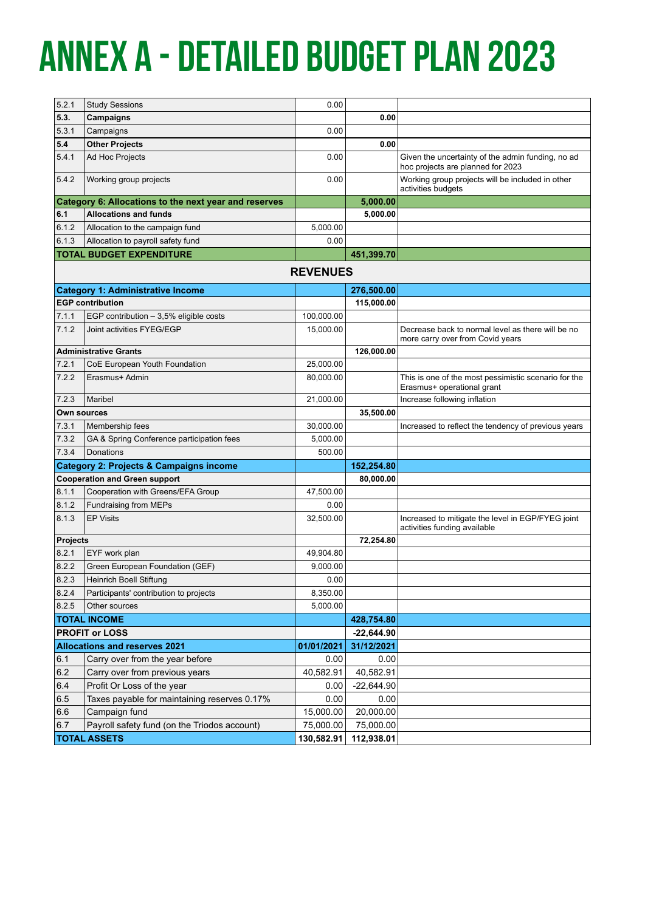# **Annex a - Detailed Budget plan 2023**

| 5.2.1           | <b>Study Sessions</b>                                 | 0.00            |              |                                                                                        |
|-----------------|-------------------------------------------------------|-----------------|--------------|----------------------------------------------------------------------------------------|
| 5.3.            | Campaigns                                             |                 | 0.00         |                                                                                        |
| 5.3.1           | Campaigns                                             | 0.00            |              |                                                                                        |
| 5.4             | <b>Other Projects</b>                                 |                 | 0.00         |                                                                                        |
| 5.4.1           | Ad Hoc Projects                                       | 0.00            |              | Given the uncertainty of the admin funding, no ad<br>hoc projects are planned for 2023 |
| 5.4.2           | Working group projects                                | 0.00            |              | Working group projects will be included in other<br>activities budgets                 |
|                 | Category 6: Allocations to the next year and reserves |                 | 5,000.00     |                                                                                        |
| 6.1             | <b>Allocations and funds</b>                          |                 | 5,000.00     |                                                                                        |
| 6.1.2           | Allocation to the campaign fund                       | 5.000.00        |              |                                                                                        |
| 6.1.3           | Allocation to payroll safety fund                     | 0.00            |              |                                                                                        |
|                 | <b>TOTAL BUDGET EXPENDITURE</b>                       |                 | 451,399.70   |                                                                                        |
|                 |                                                       | <b>REVENUES</b> |              |                                                                                        |
|                 | <b>Category 1: Administrative Income</b>              |                 | 276,500.00   |                                                                                        |
|                 | <b>EGP contribution</b>                               |                 | 115,000.00   |                                                                                        |
| 7.1.1           | EGP contribution $-3.5%$ eligible costs               | 100,000.00      |              |                                                                                        |
| 7.1.2           | Joint activities FYEG/EGP                             | 15,000.00       |              | Decrease back to normal level as there will be no<br>more carry over from Covid years  |
|                 | <b>Administrative Grants</b>                          |                 | 126,000.00   |                                                                                        |
| 7.2.1           | CoE European Youth Foundation                         | 25,000.00       |              |                                                                                        |
| 7.2.2           | Erasmus+ Admin                                        | 80,000.00       |              | This is one of the most pessimistic scenario for the<br>Erasmus+ operational grant     |
| 7.2.3           | Maribel                                               | 21,000.00       |              | Increase following inflation                                                           |
| Own sources     |                                                       |                 | 35,500.00    |                                                                                        |
| 7.3.1           | Membership fees                                       | 30,000.00       |              | Increased to reflect the tendency of previous years                                    |
| 7.3.2           | GA & Spring Conference participation fees             | 5,000.00        |              |                                                                                        |
| 7.3.4           | <b>Donations</b>                                      | 500.00          |              |                                                                                        |
|                 | <b>Category 2: Projects &amp; Campaigns income</b>    |                 | 152,254.80   |                                                                                        |
|                 | <b>Cooperation and Green support</b>                  |                 | 80,000.00    |                                                                                        |
| 8.1.1           | Cooperation with Greens/EFA Group                     | 47,500.00       |              |                                                                                        |
| 8.1.2           | Fundraising from MEPs                                 | 0.00            |              |                                                                                        |
| 8.1.3           | <b>EP Visits</b>                                      | 32,500.00       |              | Increased to mitigate the level in EGP/FYEG joint<br>activities funding available      |
| <b>Projects</b> |                                                       |                 | 72,254.80    |                                                                                        |
| 8.2.1           | EYF work plan                                         | 49,904.80       |              |                                                                                        |
| 8.2.2           | Green European Foundation (GEF)                       | 9,000.00        |              |                                                                                        |
| 8.2.3           | Heinrich Boell Stiftung                               | 0.00            |              |                                                                                        |
| 8.2.4           | Participants' contribution to projects                | 8,350.00        |              |                                                                                        |
| 8.2.5           | Other sources                                         | 5,000.00        |              |                                                                                        |
|                 | <b>TOTAL INCOME</b>                                   |                 | 428,754.80   |                                                                                        |
|                 | <b>PROFIT or LOSS</b>                                 |                 | $-22,644.90$ |                                                                                        |
|                 | <b>Allocations and reserves 2021</b>                  | 01/01/2021      | 31/12/2021   |                                                                                        |
| 6.1             | Carry over from the year before                       | 0.00            | 0.00         |                                                                                        |
| 6.2             | Carry over from previous years                        | 40,582.91       | 40,582.91    |                                                                                        |
| 6.4             | Profit Or Loss of the year                            | 0.00            | $-22,644.90$ |                                                                                        |
| 6.5             | Taxes payable for maintaining reserves 0.17%          | 0.00            | 0.00         |                                                                                        |
| 6.6             | Campaign fund                                         | 15,000.00       | 20,000.00    |                                                                                        |
| 6.7             | Payroll safety fund (on the Triodos account)          | 75,000.00       | 75,000.00    |                                                                                        |
|                 | <b>TOTAL ASSETS</b>                                   | 130,582.91      | 112,938.01   |                                                                                        |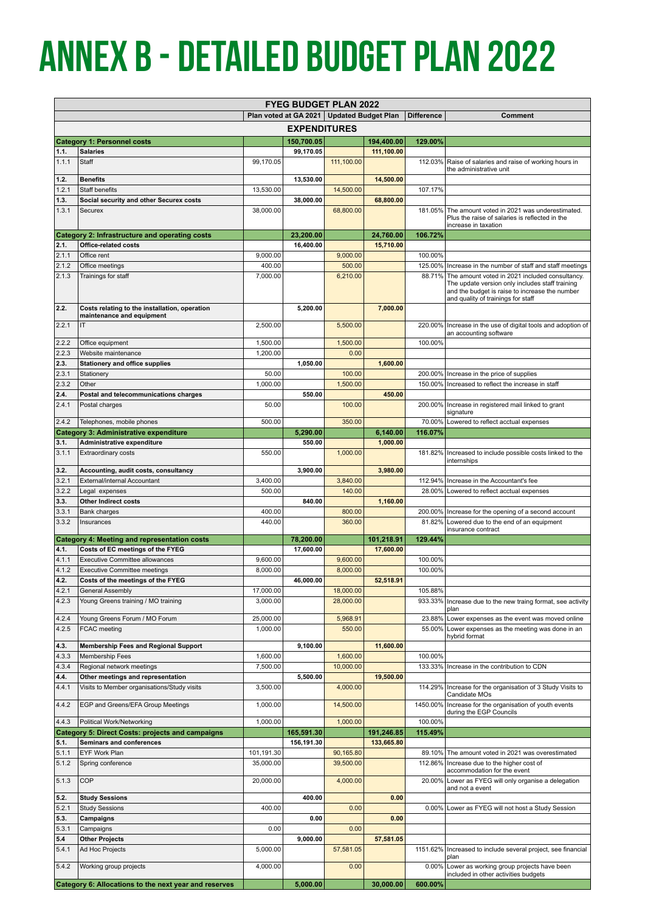# **Annex B - Detailed Budget plan 2022**

| <b>FYEG BUDGET PLAN 2022</b> |                                                                            |            |                                             |            |            |                   |                                                                                                   |  |
|------------------------------|----------------------------------------------------------------------------|------------|---------------------------------------------|------------|------------|-------------------|---------------------------------------------------------------------------------------------------|--|
|                              |                                                                            |            | Plan voted at GA 2021   Updated Budget Plan |            |            | <b>Difference</b> | <b>Comment</b>                                                                                    |  |
| <b>EXPENDITURES</b>          |                                                                            |            |                                             |            |            |                   |                                                                                                   |  |
|                              | <b>Category 1: Personnel costs</b>                                         |            | 150,700.05                                  |            | 194,400.00 | 129.00%           |                                                                                                   |  |
| 1.1.                         | <b>Salaries</b>                                                            |            | 99,170.05                                   |            | 111,100.00 |                   |                                                                                                   |  |
| 1.1.1                        | Staff                                                                      | 99.170.05  |                                             | 111,100.00 |            |                   | 112.03% Raise of salaries and raise of working hours in<br>the administrative unit                |  |
| 1.2.                         | <b>Benefits</b>                                                            |            | 13,530.00                                   |            | 14,500.00  |                   |                                                                                                   |  |
| 1.2.1                        | Staff benefits                                                             | 13,530.00  |                                             | 14,500.00  |            | 107.17%           |                                                                                                   |  |
| 1.3.                         | Social security and other Securex costs                                    |            | 38,000.00                                   |            | 68,800.00  |                   |                                                                                                   |  |
| 1.3.1                        | Securex                                                                    | 38,000.00  |                                             | 68,800.00  |            | 181.05%           | The amount voted in 2021 was underestimated.<br>Plus the raise of salaries is reflected in the    |  |
|                              |                                                                            |            |                                             |            |            |                   | increase in taxation                                                                              |  |
|                              | Category 2: Infrastructure and operating costs                             |            | 23,200.00                                   |            | 24,760.00  | 106.72%           |                                                                                                   |  |
| 2.1.<br>2.1.1                | Office-related costs<br>Office rent                                        | 9,000.00   | 16,400.00                                   | 9,000.00   | 15,710.00  | 100.00%           |                                                                                                   |  |
| 2.1.2                        | Office meetings                                                            | 400.00     |                                             | 500.00     |            | 125.00%           | Increase in the number of staff and staff meetings                                                |  |
| 2.1.3                        | Trainings for staff                                                        | 7,000.00   |                                             | 6,210.00   |            | 88.71%            | The amount voted in 2021 included consultancy.                                                    |  |
|                              |                                                                            |            |                                             |            |            |                   | The update version only includes staff training<br>and the budget is raise to increase the number |  |
|                              |                                                                            |            |                                             |            |            |                   | and quality of trainings for staff                                                                |  |
| 2.2.                         | Costs relating to the installation, operation<br>maintenance and equipment |            | 5,200.00                                    |            | 7,000.00   |                   |                                                                                                   |  |
| 2.2.1                        | IT                                                                         | 2,500.00   |                                             | 5,500.00   |            | 220.00%           | Increase in the use of digital tools and adoption of                                              |  |
|                              |                                                                            |            |                                             |            |            |                   | an accounting software                                                                            |  |
| 2.2.2                        | Office equipment                                                           | 1,500.00   |                                             | 1,500.00   |            | 100.00%           |                                                                                                   |  |
| 2.2.3<br>2.3.                | Website maintenance<br><b>Stationery and office supplies</b>               | 1,200.00   | 1,050.00                                    | 0.00       | 1,600.00   |                   |                                                                                                   |  |
| 2.3.1                        | Stationery                                                                 | 50.00      |                                             | 100.00     |            | 200.00%           | Increase in the price of supplies                                                                 |  |
| 2.3.2                        | Other                                                                      | 1,000.00   |                                             | 1,500.00   |            | 150.00%           | Increased to reflect the increase in staff                                                        |  |
| 2.4.                         | Postal and telecommunications charges                                      |            | 550.00                                      |            | 450.00     |                   |                                                                                                   |  |
| 2.4.1                        | Postal charges                                                             | 50.00      |                                             | 100.00     |            | 200.00%           | Increase in registered mail linked to grant                                                       |  |
| 2.4.2                        | Telephones, mobile phones                                                  | 500.00     |                                             | 350.00     |            | 70.00%            | signature<br>Lowered to reflect acctual expenses                                                  |  |
|                              | <b>Category 3: Administrative expenditure</b>                              |            | 5,290.00                                    |            | 6,140.00   | 116.07%           |                                                                                                   |  |
| 3.1.                         | Administrative expenditure                                                 |            | 550.00                                      |            | 1,000.00   |                   |                                                                                                   |  |
| 3.1.1                        | <b>Extraordinary costs</b>                                                 | 550.00     |                                             | 1,000.00   |            | 181.82%           | Increased to include possible costs linked to the                                                 |  |
| 3.2.                         | Accounting, audit costs, consultancy                                       |            | 3,900.00                                    |            | 3,980.00   |                   | internships                                                                                       |  |
| 3.2.1                        | External/internal Accountant                                               | 3,400.00   |                                             | 3,840.00   |            | 112.94%           | Increase in the Accountant's fee                                                                  |  |
| 3.2.2                        | Legal expenses                                                             | 500.00     |                                             | 140.00     |            | 28.00%            | Lowered to reflect acctual expenses                                                               |  |
| 3.3.                         | <b>Other Indirect costs</b>                                                |            | 840.00                                      |            | 1,160.00   |                   |                                                                                                   |  |
| 3.3.1                        | <b>Bank charges</b>                                                        | 400.00     |                                             | 800.00     |            | 200.00%           | Increase for the opening of a second account                                                      |  |
| 3.3.2                        | Insurances                                                                 | 440.00     |                                             | 360.00     |            | 81.82%            | Lowered due to the end of an equipment<br>insurance contract                                      |  |
|                              | <b>Category 4: Meeting and representation costs</b>                        |            | 78,200.00                                   |            | 101,218.91 | 129.44%           |                                                                                                   |  |
| 4.1.                         | Costs of EC meetings of the FYEG                                           |            | 17,600.00                                   |            | 17,600.00  |                   |                                                                                                   |  |
| 4.1.1                        | <b>Executive Committee allowances</b>                                      | 9,600.00   |                                             | 9,600.00   |            | 100.00%           |                                                                                                   |  |
| 4.1.2<br>4.2.                | <b>Executive Committee meetings</b>                                        | 8,000.00   |                                             | 8,000.00   |            | 100.00%           |                                                                                                   |  |
| 4.2.1                        | Costs of the meetings of the FYEG<br><b>General Assembly</b>               | 17,000.00  | 46,000.00                                   | 18,000.00  | 52,518.91  | 105.88%           |                                                                                                   |  |
| 4.2.3                        | Young Greens training / MO training                                        | 3,000.00   |                                             | 28,000.00  |            | 933.33%           | Increase due to the new traing format, see activity                                               |  |
|                              |                                                                            |            |                                             |            |            |                   | plan                                                                                              |  |
| 4.2.4                        | Young Greens Forum / MO Forum                                              | 25,000.00  |                                             | 5,968.91   |            | 23.88%            | Lower expenses as the event was moved online                                                      |  |
| 4.2.5                        | FCAC meeting                                                               | 1,000.00   |                                             | 550.00     |            | 55.00%            | Lower expenses as the meeting was done in an<br>hybrid format                                     |  |
| 4.3.                         | <b>Membership Fees and Regional Support</b>                                |            | 9,100.00                                    |            | 11,600.00  |                   |                                                                                                   |  |
| 4.3.3                        | <b>Membership Fees</b>                                                     | 1,600.00   |                                             | 1,600.00   |            | 100.00%           |                                                                                                   |  |
| 4.3.4                        | Regional network meetings                                                  | 7,500.00   |                                             | 10,000.00  |            | 133.33%           | Increase in the contribution to CDN                                                               |  |
| 4.4.<br>4.4.1                | Other meetings and representation                                          | 3,500.00   | 5,500.00                                    | 4,000.00   | 19,500.00  | 114.29%           |                                                                                                   |  |
|                              | Visits to Member organisations/Study visits                                |            |                                             |            |            |                   | Increase for the organisation of 3 Study Visits to<br>Candidate MOs                               |  |
| 4.4.2                        | EGP and Greens/EFA Group Meetings                                          | 1,000.00   |                                             | 14,500.00  |            | 1450.00%          | Increase for the organisation of youth events                                                     |  |
| 4.4.3                        | Political Work/Networking                                                  | 1,000.00   |                                             | 1,000.00   |            | 100.00%           | during the EGP Councils                                                                           |  |
|                              | <b>Category 5: Direct Costs: projects and campaigns</b>                    |            | 165,591.30                                  |            | 191,246.85 | 115.49%           |                                                                                                   |  |
| 5.1.                         | Seminars and conferences                                                   |            | 156,191.30                                  |            | 133,665.80 |                   |                                                                                                   |  |
| 5.1.1                        | EYF Work Plan                                                              | 101,191.30 |                                             | 90,165.80  |            | 89.10%            | The amount voted in 2021 was overestimated                                                        |  |
| 5.1.2                        | Spring conference                                                          | 35,000.00  |                                             | 39,500.00  |            | 112.86%           | Increase due to the higher cost of<br>accommodation for the event                                 |  |
| 5.1.3                        | COP                                                                        | 20,000.00  |                                             | 4,000.00   |            | 20.00%            | Lower as FYEG will only organise a delegation                                                     |  |
|                              |                                                                            |            |                                             |            |            |                   | and not a event                                                                                   |  |
| 5.2.                         | <b>Study Sessions</b>                                                      |            | 400.00                                      |            | 0.00       |                   |                                                                                                   |  |
| 5.2.1<br>5.3.                | <b>Study Sessions</b><br>Campaigns                                         | 400.00     | 0.00                                        | 0.00       | 0.00       | $0.00\%$          | Lower as FYEG will not host a Study Session                                                       |  |
| 5.3.1                        | Campaigns                                                                  | 0.00       |                                             | 0.00       |            |                   |                                                                                                   |  |
| 5.4                          | <b>Other Projects</b>                                                      |            | 9,000.00                                    |            | 57,581.05  |                   |                                                                                                   |  |
| 5.4.1                        | Ad Hoc Projects                                                            | 5,000.00   |                                             | 57,581.05  |            | 1151.62%          | Increased to include several project, see financial                                               |  |
|                              |                                                                            |            |                                             | 0.00       |            | 0.00%             | plan<br>Lower as working group projects have been                                                 |  |
| 5.4.2                        | Working group projects                                                     | 4,000.00   |                                             |            |            |                   | included in other activities budgets                                                              |  |
|                              | Category 6: Allocations to the next year and reserves                      |            | 5,000.00                                    |            | 30,000.00  | 600.00%           |                                                                                                   |  |